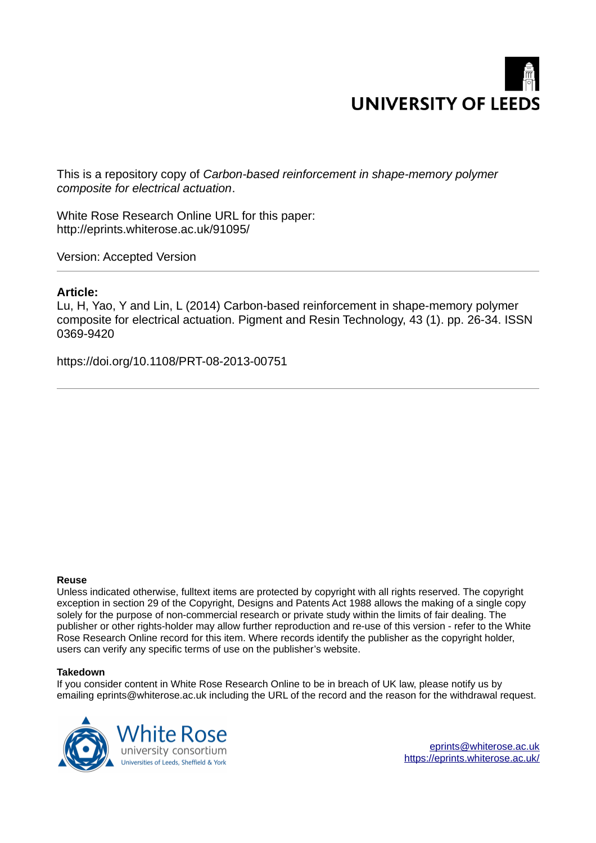

This is a repository copy of *Carbon-based reinforcement in shape-memory polymer composite for electrical actuation*.

White Rose Research Online URL for this paper: http://eprints.whiterose.ac.uk/91095/

Version: Accepted Version

# **Article:**

Lu, H, Yao, Y and Lin, L (2014) Carbon-based reinforcement in shape-memory polymer composite for electrical actuation. Pigment and Resin Technology, 43 (1). pp. 26-34. ISSN 0369-9420

https://doi.org/10.1108/PRT-08-2013-00751

#### **Reuse**

Unless indicated otherwise, fulltext items are protected by copyright with all rights reserved. The copyright exception in section 29 of the Copyright, Designs and Patents Act 1988 allows the making of a single copy solely for the purpose of non-commercial research or private study within the limits of fair dealing. The publisher or other rights-holder may allow further reproduction and re-use of this version - refer to the White Rose Research Online record for this item. Where records identify the publisher as the copyright holder, users can verify any specific terms of use on the publisher's website.

#### **Takedown**

If you consider content in White Rose Research Online to be in breach of UK law, please notify us by emailing eprints@whiterose.ac.uk including the URL of the record and the reason for the withdrawal request.

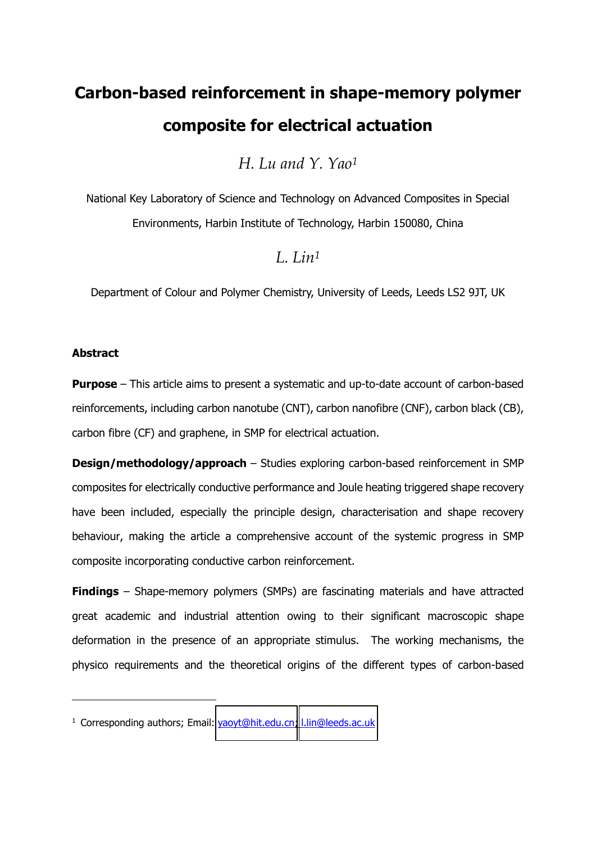# **Carbon-based reinforcement in shape-memory polymer composite for electrical actuation**

*H. Lu and Y. Yao<sup>1</sup>*

National Key Laboratory of Science and Technology on Advanced Composites in Special Environments, Harbin Institute of Technology, Harbin 150080, China

# *L. Lin<sup>1</sup>*

Department of Colour and Polymer Chemistry, University of Leeds, Leeds LS2 9JT, UK

# **Abstract**

-

**Purpose** – This article aims to present a systematic and up-to-date account of carbon-based reinforcements, including carbon nanotube (CNT), carbon nanofibre (CNF), carbon black (CB), carbon fibre (CF) and graphene, in SMP for electrical actuation.

**Design/methodology/approach** – Studies exploring carbon-based reinforcement in SMP composites for electrically conductive performance and Joule heating triggered shape recovery have been included, especially the principle design, characterisation and shape recovery behaviour, making the article a comprehensive account of the systemic progress in SMP composite incorporating conductive carbon reinforcement.

**Findings** – Shape-memory polymers (SMPs) are fascinating materials and have attracted great academic and industrial attention owing to their significant macroscopic shape deformation in the presence of an appropriate stimulus. The working mechanisms, the physico requirements and the theoretical origins of the different types of carbon-based

<sup>&</sup>lt;sup>1</sup> Corresponding authors; Email: [yaoyt@hit.edu.cn;](mailto:yaoyt@hit.edu.cn) [l.lin@leeds.ac.uk](mailto:l.lin@leeds.ac.uk)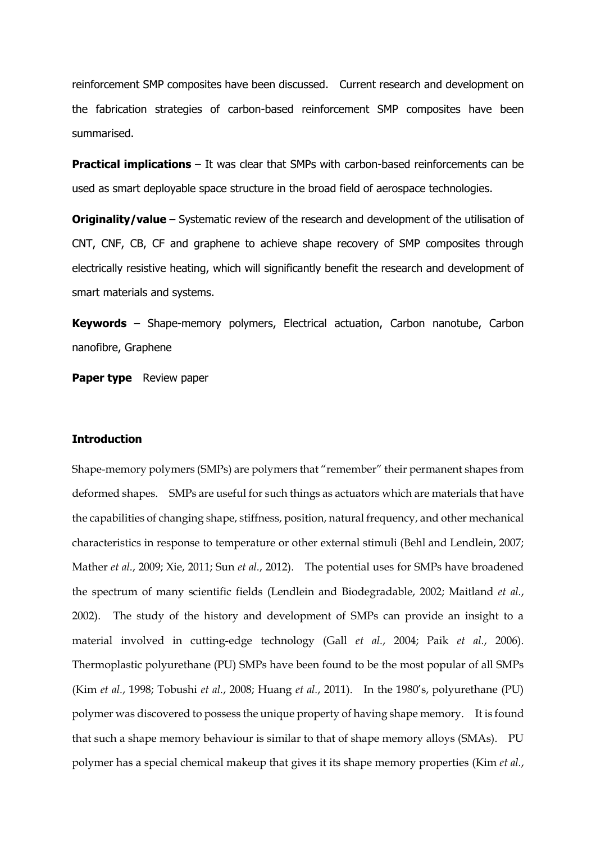reinforcement SMP composites have been discussed. Current research and development on the fabrication strategies of carbon-based reinforcement SMP composites have been summarised.

**Practical implications** – It was clear that SMPs with carbon-based reinforcements can be used as smart deployable space structure in the broad field of aerospace technologies.

**Originality/value** – Systematic review of the research and development of the utilisation of CNT, CNF, CB, CF and graphene to achieve shape recovery of SMP composites through electrically resistive heating, which will significantly benefit the research and development of smart materials and systems.

**Keywords** – Shape-memory polymers, Electrical actuation, Carbon nanotube, Carbon nanofibre, Graphene

**Paper type** Review paper

#### **Introduction**

Shape-memory polymers (SMPs) are polymers that "remember" their permanent shapes from deformed shapes. SMPs are useful for such things as actuators which are materials that have the capabilities of changing shape, stiffness, position, natural frequency, and other mechanical characteristics in response to temperature or other external stimuli (Behl and Lendlein, 2007; Mather *et al.*, 2009; Xie, 2011; Sun *et al.*, 2012). The potential uses for SMPs have broadened the spectrum of many scientific fields (Lendlein and Biodegradable, 2002; Maitland *et al.*, 2002). The study of the history and development of SMPs can provide an insight to a material involved in cutting-edge technology (Gall *et al.*, 2004; Paik *et al.*, 2006). Thermoplastic polyurethane (PU) SMPs have been found to be the most popular of all SMPs (Kim *et al.*, 1998; Tobushi *et al.*, 2008; Huang *et al.*, 2011). In the 1980's, polyurethane (PU) polymer was discovered to possess the unique property of having shape memory. It is found that such a shape memory behaviour is similar to that of shape memory alloys (SMAs). PU polymer has a special chemical makeup that gives it its shape memory properties (Kim *et al.*,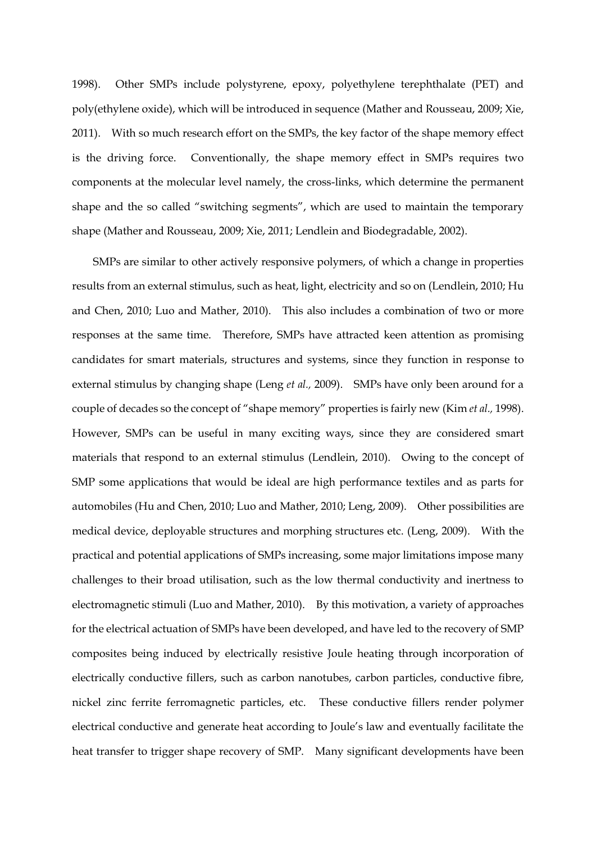1998). Other SMPs include polystyrene, epoxy, polyethylene terephthalate (PET) and poly(ethylene oxide), which will be introduced in sequence (Mather and Rousseau, 2009; Xie, 2011). With so much research effort on the SMPs, the key factor of the shape memory effect is the driving force. Conventionally, the shape memory effect in SMPs requires two components at the molecular level namely, the cross-links, which determine the permanent shape and the so called "switching segments", which are used to maintain the temporary shape (Mather and Rousseau, 2009; Xie, 2011; Lendlein and Biodegradable, 2002).

SMPs are similar to other actively responsive polymers, of which a change in properties results from an external stimulus, such as heat, light, electricity and so on (Lendlein, 2010; Hu and Chen, 2010; Luo and Mather, 2010). This also includes a combination of two or more responses at the same time. Therefore, SMPs have attracted keen attention as promising candidates for smart materials, structures and systems, since they function in response to external stimulus by changing shape (Leng *et al.,* 2009). SMPs have only been around for a couple of decades so the concept of "shape memory" properties is fairly new (Kim *et al.,* 1998). However, SMPs can be useful in many exciting ways, since they are considered smart materials that respond to an external stimulus (Lendlein, 2010). Owing to the concept of SMP some applications that would be ideal are high performance textiles and as parts for automobiles (Hu and Chen, 2010; Luo and Mather, 2010; Leng, 2009). Other possibilities are medical device, deployable structures and morphing structures etc. (Leng, 2009). With the practical and potential applications of SMPs increasing, some major limitations impose many challenges to their broad utilisation, such as the low thermal conductivity and inertness to electromagnetic stimuli (Luo and Mather, 2010). By this motivation, a variety of approaches for the electrical actuation of SMPs have been developed, and have led to the recovery of SMP composites being induced by electrically resistive Joule heating through incorporation of electrically conductive fillers, such as carbon nanotubes, carbon particles, conductive fibre, nickel zinc ferrite ferromagnetic particles, etc. These conductive fillers render polymer electrical conductive and generate heat according to Joule's law and eventually facilitate the heat transfer to trigger shape recovery of SMP. Many significant developments have been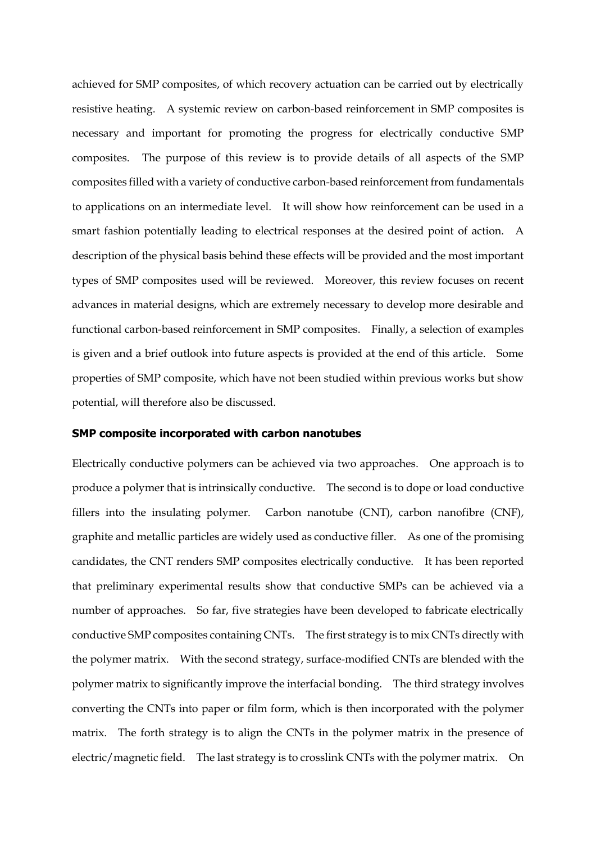achieved for SMP composites, of which recovery actuation can be carried out by electrically resistive heating. A systemic review on carbon-based reinforcement in SMP composites is necessary and important for promoting the progress for electrically conductive SMP composites. The purpose of this review is to provide details of all aspects of the SMP composites filled with a variety of conductive carbon-based reinforcement from fundamentals to applications on an intermediate level. It will show how reinforcement can be used in a smart fashion potentially leading to electrical responses at the desired point of action. A description of the physical basis behind these effects will be provided and the most important types of SMP composites used will be reviewed. Moreover, this review focuses on recent advances in material designs, which are extremely necessary to develop more desirable and functional carbon-based reinforcement in SMP composites. Finally, a selection of examples is given and a brief outlook into future aspects is provided at the end of this article. Some properties of SMP composite, which have not been studied within previous works but show potential, will therefore also be discussed.

# **SMP composite incorporated with carbon nanotubes**

Electrically conductive polymers can be achieved via two approaches. One approach is to produce a polymer that is intrinsically conductive. The second is to dope or load conductive fillers into the insulating polymer. Carbon nanotube (CNT), carbon nanofibre (CNF), graphite and metallic particles are widely used as conductive filler. As one of the promising candidates, the CNT renders SMP composites electrically conductive. It has been reported that preliminary experimental results show that conductive SMPs can be achieved via a number of approaches. So far, five strategies have been developed to fabricate electrically conductive SMP composites containing CNTs. The first strategy is to mix CNTs directly with the polymer matrix. With the second strategy, surface-modified CNTs are blended with the polymer matrix to significantly improve the interfacial bonding. The third strategy involves converting the CNTs into paper or film form, which is then incorporated with the polymer matrix. The forth strategy is to align the CNTs in the polymer matrix in the presence of electric/magnetic field. The last strategy is to crosslink CNTs with the polymer matrix. On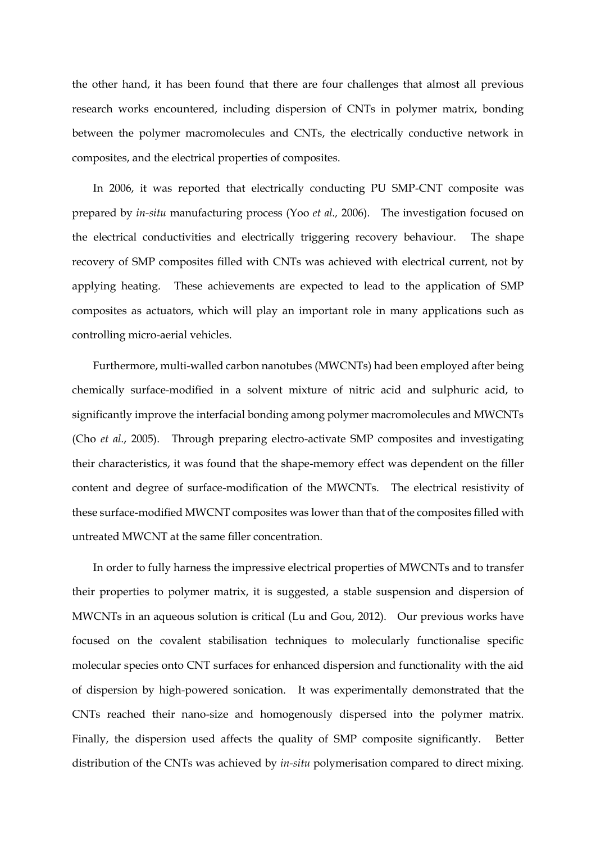the other hand, it has been found that there are four challenges that almost all previous research works encountered, including dispersion of CNTs in polymer matrix, bonding between the polymer macromolecules and CNTs, the electrically conductive network in composites, and the electrical properties of composites.

In 2006, it was reported that electrically conducting PU SMP-CNT composite was prepared by *in-situ* manufacturing process (Yoo *et al.,* 2006). The investigation focused on the electrical conductivities and electrically triggering recovery behaviour. The shape recovery of SMP composites filled with CNTs was achieved with electrical current, not by applying heating. These achievements are expected to lead to the application of SMP composites as actuators, which will play an important role in many applications such as controlling micro-aerial vehicles.

Furthermore, multi-walled carbon nanotubes (MWCNTs) had been employed after being chemically surface-modified in a solvent mixture of nitric acid and sulphuric acid, to significantly improve the interfacial bonding among polymer macromolecules and MWCNTs (Cho *et al.*, 2005). Through preparing electro-activate SMP composites and investigating their characteristics, it was found that the shape-memory effect was dependent on the filler content and degree of surface-modification of the MWCNTs. The electrical resistivity of these surface-modified MWCNT composites was lower than that of the composites filled with untreated MWCNT at the same filler concentration.

In order to fully harness the impressive electrical properties of MWCNTs and to transfer their properties to polymer matrix, it is suggested, a stable suspension and dispersion of MWCNTs in an aqueous solution is critical (Lu and Gou, 2012). Our previous works have focused on the covalent stabilisation techniques to molecularly functionalise specific molecular species onto CNT surfaces for enhanced dispersion and functionality with the aid of dispersion by high-powered sonication. It was experimentally demonstrated that the CNTs reached their nano-size and homogenously dispersed into the polymer matrix. Finally, the dispersion used affects the quality of SMP composite significantly. Better distribution of the CNTs was achieved by *in-situ* polymerisation compared to direct mixing.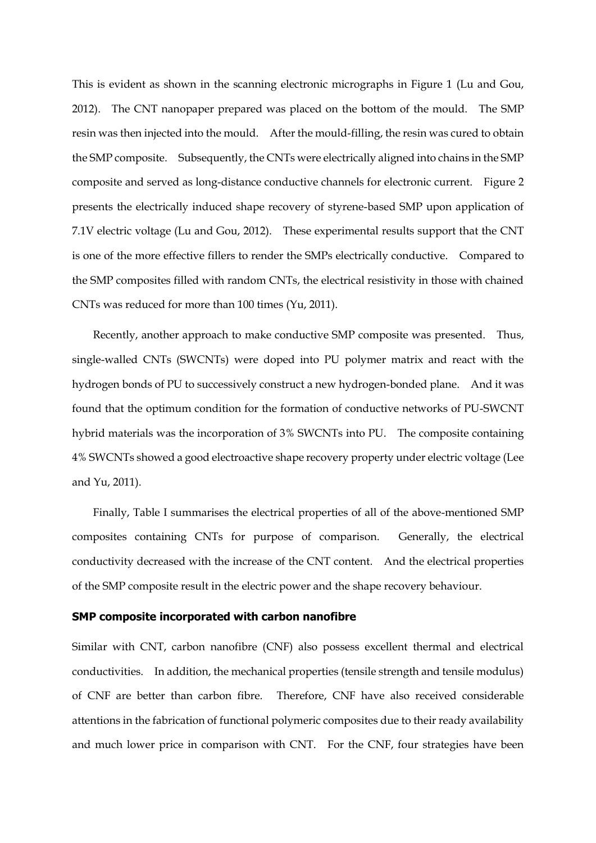This is evident as shown in the scanning electronic micrographs in Figure 1 (Lu and Gou, 2012). The CNT nanopaper prepared was placed on the bottom of the mould. The SMP resin was then injected into the mould. After the mould-filling, the resin was cured to obtain the SMP composite. Subsequently, the CNTs were electrically aligned into chains in the SMP composite and served as long-distance conductive channels for electronic current. Figure 2 presents the electrically induced shape recovery of styrene-based SMP upon application of 7.1V electric voltage (Lu and Gou, 2012). These experimental results support that the CNT is one of the more effective fillers to render the SMPs electrically conductive. Compared to the SMP composites filled with random CNTs, the electrical resistivity in those with chained CNTs was reduced for more than 100 times (Yu, 2011).

Recently, another approach to make conductive SMP composite was presented. Thus, single-walled CNTs (SWCNTs) were doped into PU polymer matrix and react with the hydrogen bonds of PU to successively construct a new hydrogen-bonded plane. And it was found that the optimum condition for the formation of conductive networks of PU-SWCNT hybrid materials was the incorporation of 3% SWCNTs into PU. The composite containing 4% SWCNTs showed a good electroactive shape recovery property under electric voltage (Lee and Yu, 2011).

Finally, Table I summarises the electrical properties of all of the above-mentioned SMP composites containing CNTs for purpose of comparison. Generally, the electrical conductivity decreased with the increase of the CNT content. And the electrical properties of the SMP composite result in the electric power and the shape recovery behaviour.

## **SMP composite incorporated with carbon nanofibre**

Similar with CNT, carbon nanofibre (CNF) also possess excellent thermal and electrical conductivities. In addition, the mechanical properties (tensile strength and tensile modulus) of CNF are better than carbon fibre. Therefore, CNF have also received considerable attentions in the fabrication of functional polymeric composites due to their ready availability and much lower price in comparison with CNT. For the CNF, four strategies have been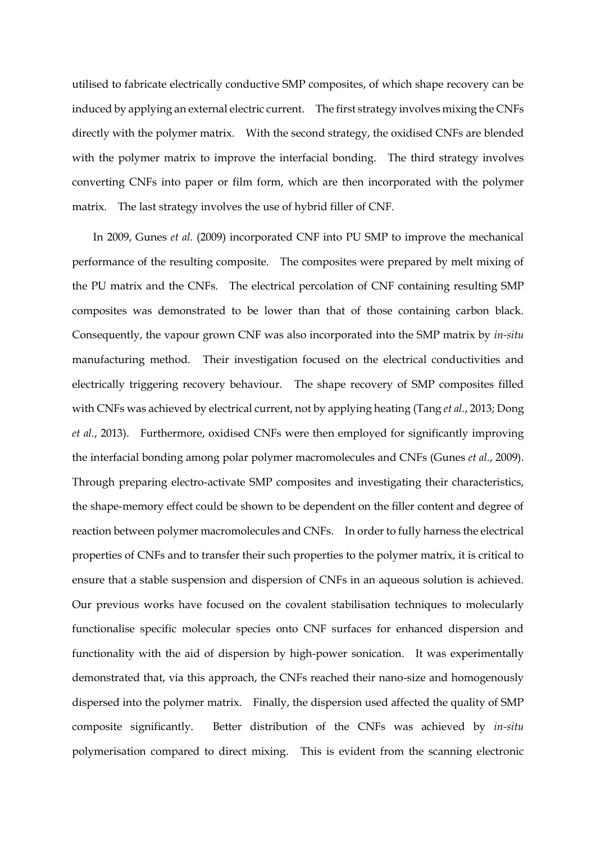utilised to fabricate electrically conductive SMP composites, of which shape recovery can be induced by applying an external electric current. The first strategy involves mixing the CNFs directly with the polymer matrix. With the second strategy, the oxidised CNFs are blended with the polymer matrix to improve the interfacial bonding. The third strategy involves converting CNFs into paper or film form, which are then incorporated with the polymer matrix. The last strategy involves the use of hybrid filler of CNF.

In 2009, Gunes *et al.* (2009) incorporated CNF into PU SMP to improve the mechanical performance of the resulting composite. The composites were prepared by melt mixing of the PU matrix and the CNFs. The electrical percolation of CNF containing resulting SMP composites was demonstrated to be lower than that of those containing carbon black. Consequently, the vapour grown CNF was also incorporated into the SMP matrix by *in-situ* manufacturing method. Their investigation focused on the electrical conductivities and electrically triggering recovery behaviour. The shape recovery of SMP composites filled with CNFs was achieved by electrical current, not by applying heating (Tang *et al.*, 2013; Dong *et al.*, 2013). Furthermore, oxidised CNFs were then employed for significantly improving the interfacial bonding among polar polymer macromolecules and CNFs (Gunes *et al.*, 2009). Through preparing electro-activate SMP composites and investigating their characteristics, the shape-memory effect could be shown to be dependent on the filler content and degree of reaction between polymer macromolecules and CNFs. In order to fully harness the electrical properties of CNFs and to transfer their such properties to the polymer matrix, it is critical to ensure that a stable suspension and dispersion of CNFs in an aqueous solution is achieved. Our previous works have focused on the covalent stabilisation techniques to molecularly functionalise specific molecular species onto CNF surfaces for enhanced dispersion and functionality with the aid of dispersion by high-power sonication. It was experimentally demonstrated that, via this approach, the CNFs reached their nano-size and homogenously dispersed into the polymer matrix. Finally, the dispersion used affected the quality of SMP composite significantly. Better distribution of the CNFs was achieved by *in-situ* polymerisation compared to direct mixing. This is evident from the scanning electronic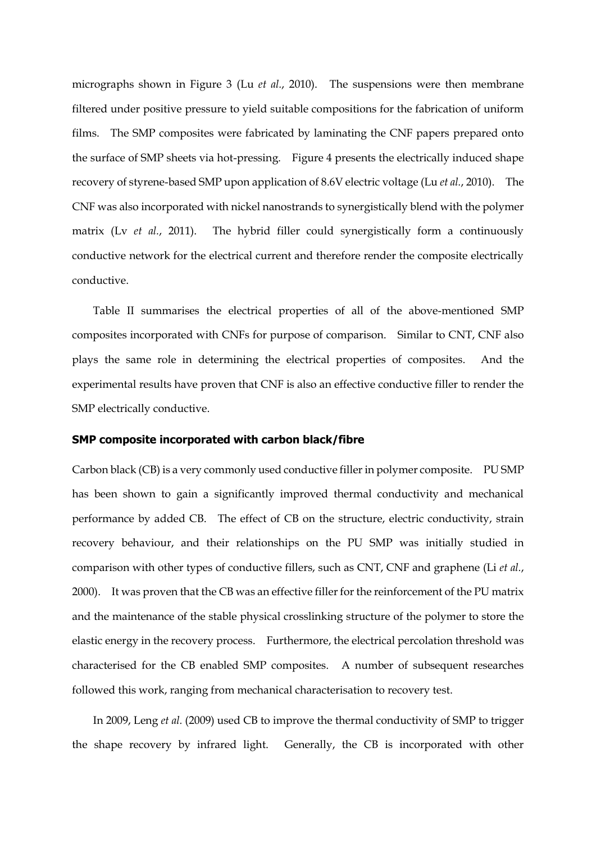micrographs shown in Figure 3 (Lu *et al.*, 2010). The suspensions were then membrane filtered under positive pressure to yield suitable compositions for the fabrication of uniform films. The SMP composites were fabricated by laminating the CNF papers prepared onto the surface of SMP sheets via hot-pressing. Figure 4 presents the electrically induced shape recovery of styrene-based SMP upon application of 8.6V electric voltage (Lu *et al.*, 2010). The CNF was also incorporated with nickel nanostrands to synergistically blend with the polymer matrix (Lv *et al.*, 2011). The hybrid filler could synergistically form a continuously conductive network for the electrical current and therefore render the composite electrically conductive.

Table II summarises the electrical properties of all of the above-mentioned SMP composites incorporated with CNFs for purpose of comparison. Similar to CNT, CNF also plays the same role in determining the electrical properties of composites. And the experimental results have proven that CNF is also an effective conductive filler to render the SMP electrically conductive.

### **SMP composite incorporated with carbon black/fibre**

Carbon black (CB) is a very commonly used conductive filler in polymer composite. PU SMP has been shown to gain a significantly improved thermal conductivity and mechanical performance by added CB. The effect of CB on the structure, electric conductivity, strain recovery behaviour, and their relationships on the PU SMP was initially studied in comparison with other types of conductive fillers, such as CNT, CNF and graphene (Li *et al.*, 2000). It was proven that the CB was an effective filler for the reinforcement of the PU matrix and the maintenance of the stable physical crosslinking structure of the polymer to store the elastic energy in the recovery process. Furthermore, the electrical percolation threshold was characterised for the CB enabled SMP composites. A number of subsequent researches followed this work, ranging from mechanical characterisation to recovery test.

In 2009, Leng *et al.* (2009) used CB to improve the thermal conductivity of SMP to trigger the shape recovery by infrared light. Generally, the CB is incorporated with other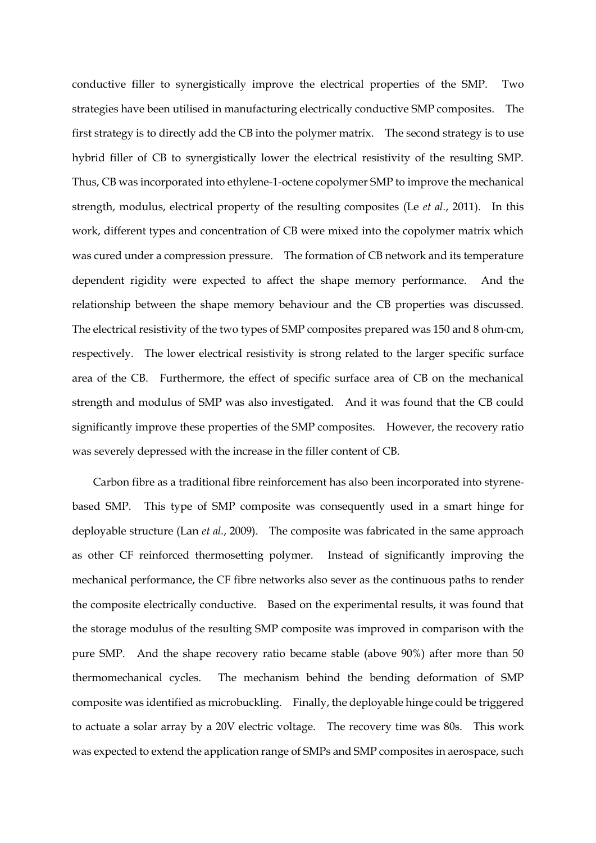conductive filler to synergistically improve the electrical properties of the SMP. Two strategies have been utilised in manufacturing electrically conductive SMP composites. The first strategy is to directly add the CB into the polymer matrix. The second strategy is to use hybrid filler of CB to synergistically lower the electrical resistivity of the resulting SMP. Thus, CB was incorporated into ethylene-1-octene copolymer SMP to improve the mechanical strength, modulus, electrical property of the resulting composites (Le *et al.*, 2011). In this work, different types and concentration of CB were mixed into the copolymer matrix which was cured under a compression pressure. The formation of CB network and its temperature dependent rigidity were expected to affect the shape memory performance. And the relationship between the shape memory behaviour and the CB properties was discussed. The electrical resistivity of the two types of SMP composites prepared was 150 and 8 ohm∙cm, respectively. The lower electrical resistivity is strong related to the larger specific surface area of the CB. Furthermore, the effect of specific surface area of CB on the mechanical strength and modulus of SMP was also investigated. And it was found that the CB could significantly improve these properties of the SMP composites. However, the recovery ratio was severely depressed with the increase in the filler content of CB.

Carbon fibre as a traditional fibre reinforcement has also been incorporated into styrenebased SMP. This type of SMP composite was consequently used in a smart hinge for deployable structure (Lan *et al.*, 2009). The composite was fabricated in the same approach as other CF reinforced thermosetting polymer. Instead of significantly improving the mechanical performance, the CF fibre networks also sever as the continuous paths to render the composite electrically conductive. Based on the experimental results, it was found that the storage modulus of the resulting SMP composite was improved in comparison with the pure SMP. And the shape recovery ratio became stable (above 90%) after more than 50 thermomechanical cycles. The mechanism behind the bending deformation of SMP composite was identified as microbuckling. Finally, the deployable hinge could be triggered to actuate a solar array by a 20V electric voltage. The recovery time was 80s. This work was expected to extend the application range of SMPs and SMP composites in aerospace, such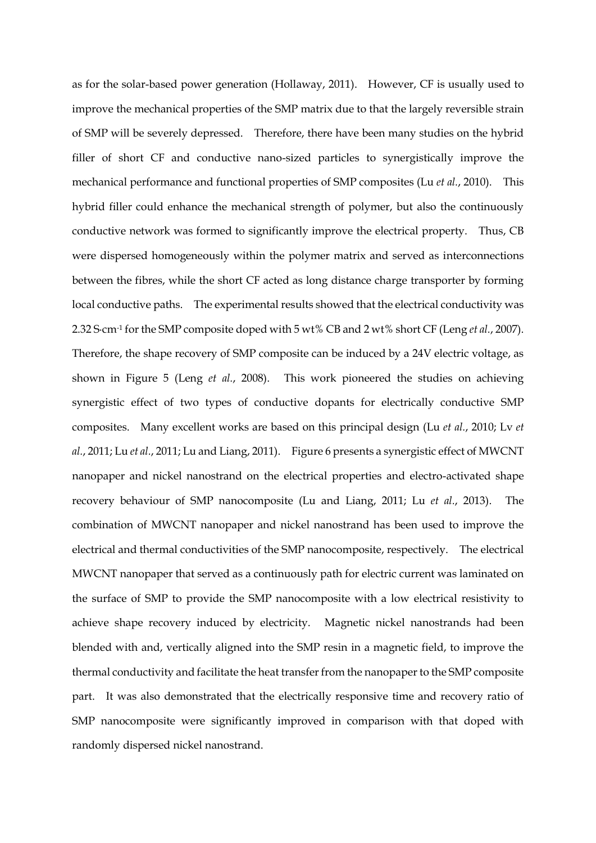as for the solar-based power generation (Hollaway, 2011). However, CF is usually used to improve the mechanical properties of the SMP matrix due to that the largely reversible strain of SMP will be severely depressed. Therefore, there have been many studies on the hybrid filler of short CF and conductive nano-sized particles to synergistically improve the mechanical performance and functional properties of SMP composites (Lu *et al.*, 2010). This hybrid filler could enhance the mechanical strength of polymer, but also the continuously conductive network was formed to significantly improve the electrical property. Thus, CB were dispersed homogeneously within the polymer matrix and served as interconnections between the fibres, while the short CF acted as long distance charge transporter by forming local conductive paths. The experimental results showed that the electrical conductivity was 2.32 S∙cm-1 for the SMP composite doped with 5 wt% CB and 2 wt% short CF (Leng *et al.*, 2007). Therefore, the shape recovery of SMP composite can be induced by a 24V electric voltage, as shown in Figure 5 (Leng *et al.*, 2008). This work pioneered the studies on achieving synergistic effect of two types of conductive dopants for electrically conductive SMP composites. Many excellent works are based on this principal design (Lu *et al.*, 2010; Lv *et al.*, 2011; Lu *et al.*, 2011; Lu and Liang, 2011). Figure 6 presents a synergistic effect of MWCNT nanopaper and nickel nanostrand on the electrical properties and electro-activated shape recovery behaviour of SMP nanocomposite (Lu and Liang, 2011; Lu *et al.*, 2013). The combination of MWCNT nanopaper and nickel nanostrand has been used to improve the electrical and thermal conductivities of the SMP nanocomposite, respectively. The electrical MWCNT nanopaper that served as a continuously path for electric current was laminated on the surface of SMP to provide the SMP nanocomposite with a low electrical resistivity to achieve shape recovery induced by electricity. Magnetic nickel nanostrands had been blended with and, vertically aligned into the SMP resin in a magnetic field, to improve the thermal conductivity and facilitate the heat transfer from the nanopaper to the SMP composite part. It was also demonstrated that the electrically responsive time and recovery ratio of SMP nanocomposite were significantly improved in comparison with that doped with randomly dispersed nickel nanostrand.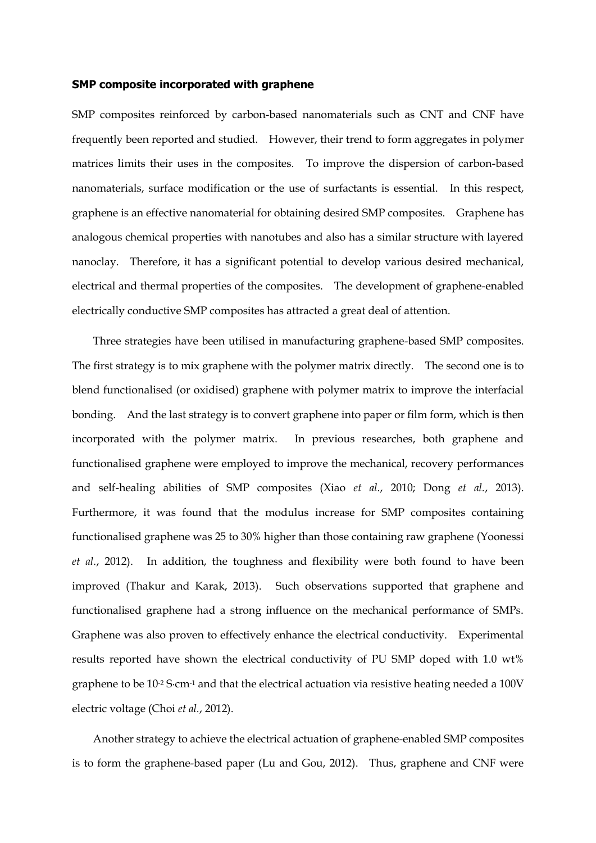### **SMP composite incorporated with graphene**

SMP composites reinforced by carbon-based nanomaterials such as CNT and CNF have frequently been reported and studied. However, their trend to form aggregates in polymer matrices limits their uses in the composites. To improve the dispersion of carbon-based nanomaterials, surface modification or the use of surfactants is essential. In this respect, graphene is an effective nanomaterial for obtaining desired SMP composites. Graphene has analogous chemical properties with nanotubes and also has a similar structure with layered nanoclay. Therefore, it has a significant potential to develop various desired mechanical, electrical and thermal properties of the composites. The development of graphene-enabled electrically conductive SMP composites has attracted a great deal of attention.

Three strategies have been utilised in manufacturing graphene-based SMP composites. The first strategy is to mix graphene with the polymer matrix directly. The second one is to blend functionalised (or oxidised) graphene with polymer matrix to improve the interfacial bonding. And the last strategy is to convert graphene into paper or film form, which is then incorporated with the polymer matrix. In previous researches, both graphene and functionalised graphene were employed to improve the mechanical, recovery performances and self-healing abilities of SMP composites (Xiao *et al.*, 2010; Dong *et al.*, 2013). Furthermore, it was found that the modulus increase for SMP composites containing functionalised graphene was 25 to 30% higher than those containing raw graphene (Yoonessi *et al.*, 2012). In addition, the toughness and flexibility were both found to have been improved (Thakur and Karak, 2013). Such observations supported that graphene and functionalised graphene had a strong influence on the mechanical performance of SMPs. Graphene was also proven to effectively enhance the electrical conductivity. Experimental results reported have shown the electrical conductivity of PU SMP doped with 1.0 wt% graphene to be 10<sup>-2</sup> S⋅cm<sup>-1</sup> and that the electrical actuation via resistive heating needed a 100V electric voltage (Choi *et al.*, 2012).

Another strategy to achieve the electrical actuation of graphene-enabled SMP composites is to form the graphene-based paper (Lu and Gou, 2012). Thus, graphene and CNF were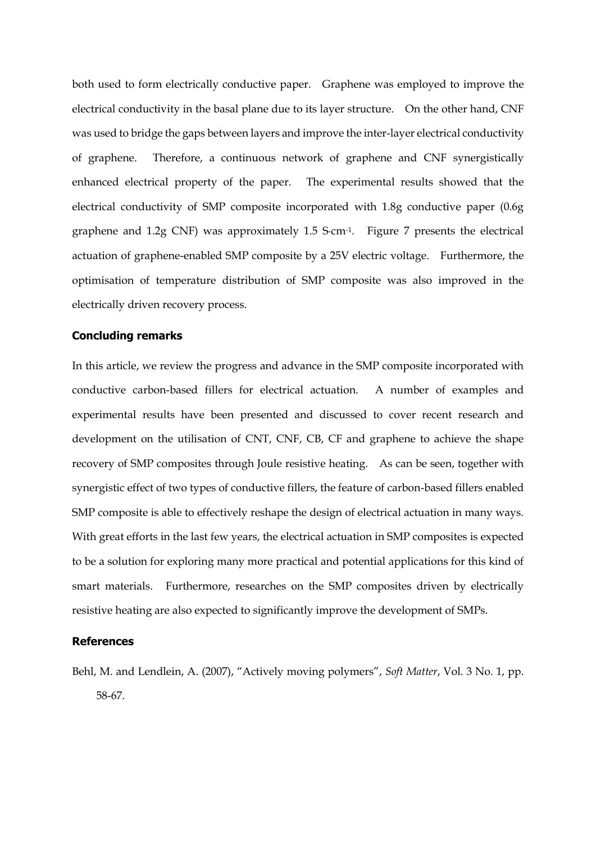both used to form electrically conductive paper. Graphene was employed to improve the electrical conductivity in the basal plane due to its layer structure. On the other hand, CNF was used to bridge the gaps between layers and improve the inter-layer electrical conductivity of graphene. Therefore, a continuous network of graphene and CNF synergistically enhanced electrical property of the paper. The experimental results showed that the electrical conductivity of SMP composite incorporated with 1.8g conductive paper (0.6g graphene and 1.2g CNF) was approximately 1.5 S∙cm-1. Figure 7 presents the electrical actuation of graphene-enabled SMP composite by a 25V electric voltage. Furthermore, the optimisation of temperature distribution of SMP composite was also improved in the electrically driven recovery process.

# **Concluding remarks**

In this article, we review the progress and advance in the SMP composite incorporated with conductive carbon-based fillers for electrical actuation. A number of examples and experimental results have been presented and discussed to cover recent research and development on the utilisation of CNT, CNF, CB, CF and graphene to achieve the shape recovery of SMP composites through Joule resistive heating. As can be seen, together with synergistic effect of two types of conductive fillers, the feature of carbon-based fillers enabled SMP composite is able to effectively reshape the design of electrical actuation in many ways. With great efforts in the last few years, the electrical actuation in SMP composites is expected to be a solution for exploring many more practical and potential applications for this kind of smart materials. Furthermore, researches on the SMP composites driven by electrically resistive heating are also expected to significantly improve the development of SMPs.

# **References**

Behl, M. and Lendlein, A. (2007), "Actively moving polymers", *Soft Matter*, Vol. 3 No. 1, pp. 58-67.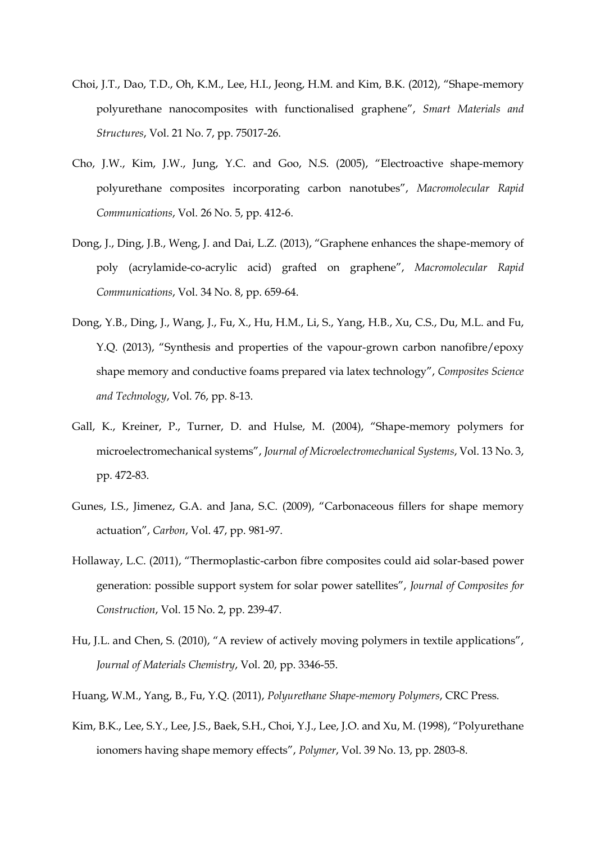- Choi, J.T., Dao, T.D., Oh, K.M., Lee, H.I., Jeong, H.M. and Kim, B.K. (2012), "Shape-memory polyurethane nanocomposites with functionalised graphene", *Smart Materials and Structures*, Vol. 21 No. 7, pp. 75017-26.
- Cho, J.W., Kim, J.W., Jung, Y.C. and Goo, N.S. (2005), "Electroactive shape-memory polyurethane composites incorporating carbon nanotubes", *Macromolecular Rapid Communications*, Vol. 26 No. 5, pp. 412-6.
- Dong, J., Ding, J.B., Weng, J. and Dai, L.Z. (2013), "Graphene enhances the shape-memory of poly (acrylamide-co-acrylic acid) grafted on graphene", *Macromolecular Rapid Communications*, Vol. 34 No. 8, pp. 659-64.
- Dong, Y.B., Ding, J., Wang, J., Fu, X., Hu, H.M., Li, S., Yang, H.B., Xu, C.S., Du, M.L. and Fu, Y.Q. (2013), "Synthesis and properties of the vapour-grown carbon nanofibre/epoxy shape memory and conductive foams prepared via latex technology", *Composites Science and Technology*, Vol. 76, pp. 8-13.
- Gall, K., Kreiner, P., Turner, D. and Hulse, M. (2004), "Shape-memory polymers for microelectromechanical systems", *Journal of Microelectromechanical Systems*, Vol. 13 No. 3, pp. 472-83.
- Gunes, I.S., Jimenez, G.A. and Jana, S.C. (2009), "Carbonaceous fillers for shape memory actuation", *Carbon*, Vol. 47, pp. 981-97.
- Hollaway, L.C. (2011), "Thermoplastic-carbon fibre composites could aid solar-based power generation: possible support system for solar power satellites", *Journal of Composites for Construction*, Vol. 15 No. 2, pp. 239-47.
- Hu, J.L. and Chen, S. (2010), "A review of actively moving polymers in textile applications", *Journal of Materials Chemistry*, Vol. 20, pp. 3346-55.
- Huang, W.M., Yang, B., Fu, Y.Q. (2011), *Polyurethane Shape-memory Polymers*, CRC Press.
- Kim, B.K., Lee, S.Y., Lee, J.S., Baek, S.H., Choi, Y.J., Lee, J.O. and Xu, M. (1998), "Polyurethane ionomers having shape memory effects", *Polymer*, Vol. 39 No. 13, pp. 2803-8.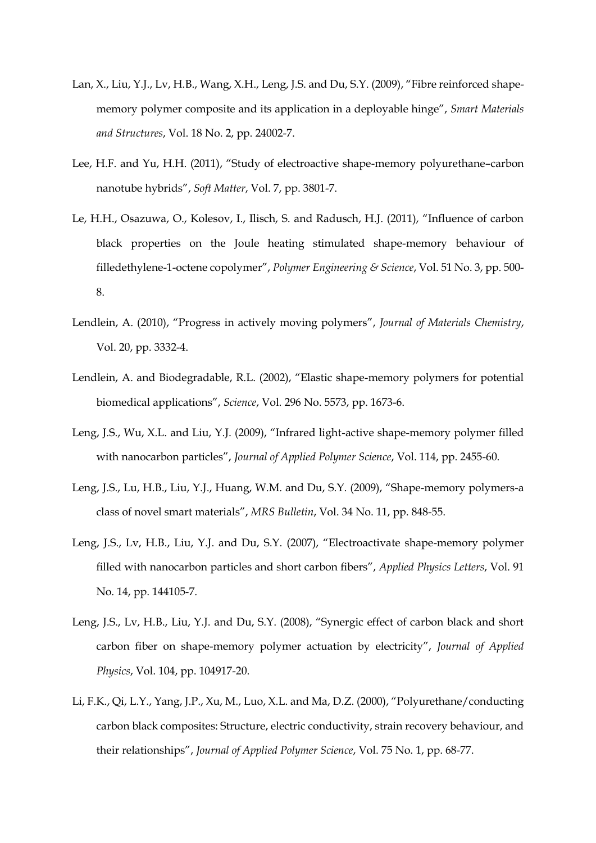- Lan, X., Liu, Y.J., Lv, H.B., Wang, X.H., Leng, J.S. and Du, S.Y. (2009), "Fibre reinforced shapememory polymer composite and its application in a deployable hinge", *Smart Materials and Structures*, Vol. 18 No. 2, pp. 24002-7.
- Lee, H.F. and Yu, H.H. (2011), "Study of electroactive shape-memory polyurethane–carbon nanotube hybrids", *Soft Matter*, Vol. 7, pp. 3801-7.
- Le, H.H., Osazuwa, O., Kolesov, I., Ilisch, S. and Radusch, H.J. (2011), "Influence of carbon black properties on the Joule heating stimulated shape-memory behaviour of filledethylene-1-octene copolymer", *Polymer Engineering & Science*, Vol. 51 No. 3, pp. 500- 8.
- Lendlein, A. (2010), "Progress in actively moving polymers", *Journal of Materials Chemistry*, Vol. 20, pp. 3332-4.
- Lendlein, A. and Biodegradable, R.L. (2002), "Elastic shape-memory polymers for potential biomedical applications", *Science*, Vol. 296 No. 5573, pp. 1673-6.
- Leng, J.S., Wu, X.L. and Liu, Y.J. (2009), "Infrared light-active shape-memory polymer filled with nanocarbon particles", *Journal of Applied Polymer Science*, Vol. 114, pp. 2455-60.
- Leng, J.S., Lu, H.B., Liu, Y.J., Huang, W.M. and Du, S.Y. (2009), "Shape-memory polymers-a class of novel smart materials", *MRS Bulletin*, Vol. 34 No. 11, pp. 848-55.
- Leng, J.S., Lv, H.B., Liu, Y.J. and Du, S.Y. (2007), "Electroactivate shape-memory polymer filled with nanocarbon particles and short carbon fibers", *Applied Physics Letters*, Vol. 91 No. 14, pp. 144105-7.
- Leng, J.S., Lv, H.B., Liu, Y.J. and Du, S.Y. (2008), "Synergic effect of carbon black and short carbon fiber on shape-memory polymer actuation by electricity", *Journal of Applied Physics*, Vol. 104, pp. 104917-20.
- Li, F.K., Qi, L.Y., Yang, J.P., Xu, M., Luo, X.L. and Ma, D.Z. (2000), "Polyurethane/conducting carbon black composites: Structure, electric conductivity, strain recovery behaviour, and their relationships", *Journal of Applied Polymer Science*, Vol. 75 No. 1, pp. 68-77.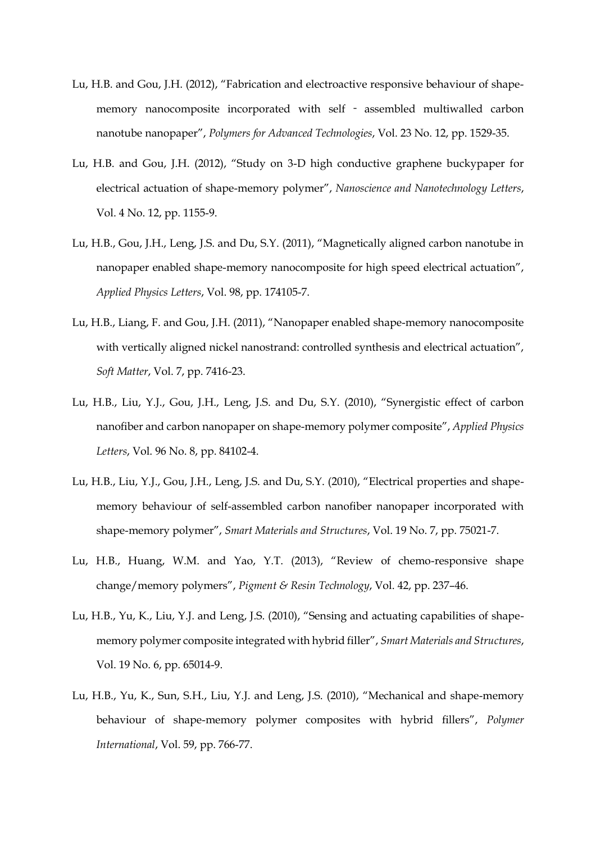- Lu, H.B. and Gou, J.H. (2012), "Fabrication and electroactive responsive behaviour of shapememory nanocomposite incorporated with self - assembled multiwalled carbon nanotube nanopaper", *Polymers for Advanced Technologies*, Vol. 23 No. 12, pp. 1529-35.
- Lu, H.B. and Gou, J.H. (2012), "Study on 3-D high conductive graphene buckypaper for electrical actuation of shape-memory polymer", *Nanoscience and Nanotechnology Letters*, Vol. 4 No. 12, pp. 1155-9.
- Lu, H.B., Gou, J.H., Leng, J.S. and Du, S.Y. (2011), "Magnetically aligned carbon nanotube in nanopaper enabled shape-memory nanocomposite for high speed electrical actuation", *Applied Physics Letters*, Vol. 98, pp. 174105-7.
- Lu, H.B., Liang, F. and Gou, J.H. (2011), "Nanopaper enabled shape-memory nanocomposite with vertically aligned nickel nanostrand: controlled synthesis and electrical actuation", *Soft Matter*, Vol. 7, pp. 7416-23.
- Lu, H.B., Liu, Y.J., Gou, J.H., Leng, J.S. and Du, S.Y. (2010), "Synergistic effect of carbon nanofiber and carbon nanopaper on shape-memory polymer composite", *Applied Physics Letters*, Vol. 96 No. 8, pp. 84102-4.
- Lu, H.B., Liu, Y.J., Gou, J.H., Leng, J.S. and Du, S.Y. (2010), "Electrical properties and shapememory behaviour of self-assembled carbon nanofiber nanopaper incorporated with shape-memory polymer", *Smart Materials and Structures*, Vol. 19 No. 7, pp. 75021-7.
- Lu, H.B., Huang, W.M. and Yao, Y.T. (2013), "Review of chemo-responsive shape change/memory polymers", *Pigment & Resin Technology*, Vol. 42, pp. 237–46.
- Lu, H.B., Yu, K., Liu, Y.J. and Leng, J.S. (2010), "Sensing and actuating capabilities of shapememory polymer composite integrated with hybrid filler", *Smart Materials and Structures*, Vol. 19 No. 6, pp. 65014-9.
- Lu, H.B., Yu, K., Sun, S.H., Liu, Y.J. and Leng, J.S. (2010), "Mechanical and shape-memory behaviour of shape-memory polymer composites with hybrid fillers", *Polymer International*, Vol. 59, pp. 766-77.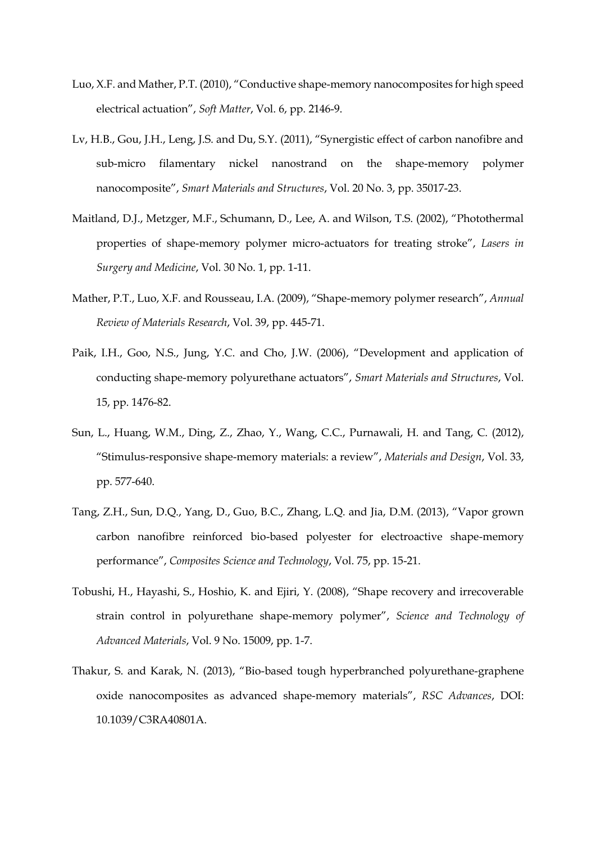- Luo, X.F. and Mather, P.T. (2010), "Conductive shape-memory nanocomposites for high speed electrical actuation", *Soft Matter*, Vol. 6, pp. 2146-9.
- Lv, H.B., Gou, J.H., Leng, J.S. and Du, S.Y. (2011), "Synergistic effect of carbon nanofibre and sub-micro filamentary nickel nanostrand on the shape-memory polymer nanocomposite", *Smart Materials and Structures*, Vol. 20 No. 3, pp. 35017-23.
- Maitland, D.J., Metzger, M.F., Schumann, D., Lee, A. and Wilson, T.S. (2002), "Photothermal properties of shape-memory polymer micro-actuators for treating stroke", *Lasers in Surgery and Medicine*, Vol. 30 No. 1, pp. 1-11.
- Mather, P.T., Luo, X.F. and Rousseau, I.A. (2009), "Shape-memory polymer research", *Annual Review of Materials Research*, Vol. 39, pp. 445-71.
- Paik, I.H., Goo, N.S., Jung, Y.C. and Cho, J.W. (2006), "Development and application of conducting shape-memory polyurethane actuators", *Smart Materials and Structures*, Vol. 15, pp. 1476-82.
- Sun, L., Huang, W.M., Ding, Z., Zhao, Y., Wang, C.C., Purnawali, H. and Tang, C. (2012), "Stimulus-responsive shape-memory materials: a review", *Materials and Design*, Vol. 33, pp. 577-640.
- Tang, Z.H., Sun, D.Q., Yang, D., Guo, B.C., Zhang, L.Q. and Jia, D.M. (2013), "Vapor grown carbon nanofibre reinforced bio-based polyester for electroactive shape-memory performance", *Composites Science and Technology*, Vol. 75, pp. 15-21.
- Tobushi, H., Hayashi, S., Hoshio, K. and Ejiri, Y. (2008), "Shape recovery and irrecoverable strain control in polyurethane shape-memory polymer", *Science and Technology of Advanced Materials*, Vol. 9 No. 15009, pp. 1-7.
- Thakur, S. and Karak, N. (2013), "Bio-based tough hyperbranched polyurethane-graphene oxide nanocomposites as advanced shape-memory materials", *RSC Advances*, DOI: 10.1039/C3RA40801A.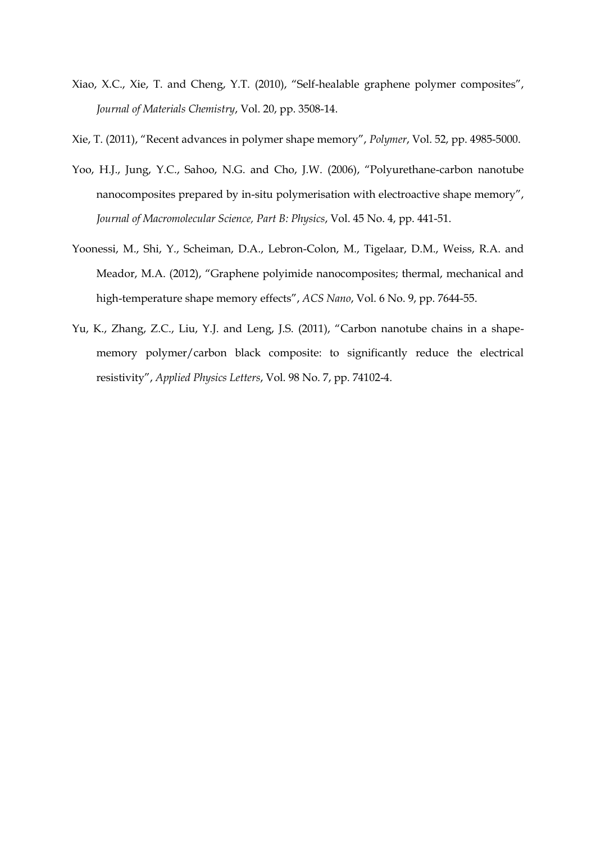- Xiao, X.C., Xie, T. and Cheng, Y.T. (2010), "Self-healable graphene polymer composites", *Journal of Materials Chemistry*, Vol. 20, pp. 3508-14.
- Xie, T. (2011), "Recent advances in polymer shape memory", *Polymer*, Vol. 52, pp. 4985-5000.
- Yoo, H.J., Jung, Y.C., Sahoo, N.G. and Cho, J.W. (2006), "Polyurethane-carbon nanotube nanocomposites prepared by in-situ polymerisation with electroactive shape memory", *Journal of Macromolecular Science, Part B: Physics*, Vol. 45 No. 4, pp. 441-51.
- Yoonessi, M., Shi, Y., Scheiman, D.A., Lebron-Colon, M., Tigelaar, D.M., Weiss, R.A. and Meador, M.A. (2012), "Graphene polyimide nanocomposites; thermal, mechanical and high-temperature shape memory effects", *ACS Nano*, Vol. 6 No. 9, pp. 7644-55.
- Yu, K., Zhang, Z.C., Liu, Y.J. and Leng, J.S. (2011), "Carbon nanotube chains in a shapememory polymer/carbon black composite: to significantly reduce the electrical resistivity", *Applied Physics Letters*, Vol. 98 No. 7, pp. 74102-4.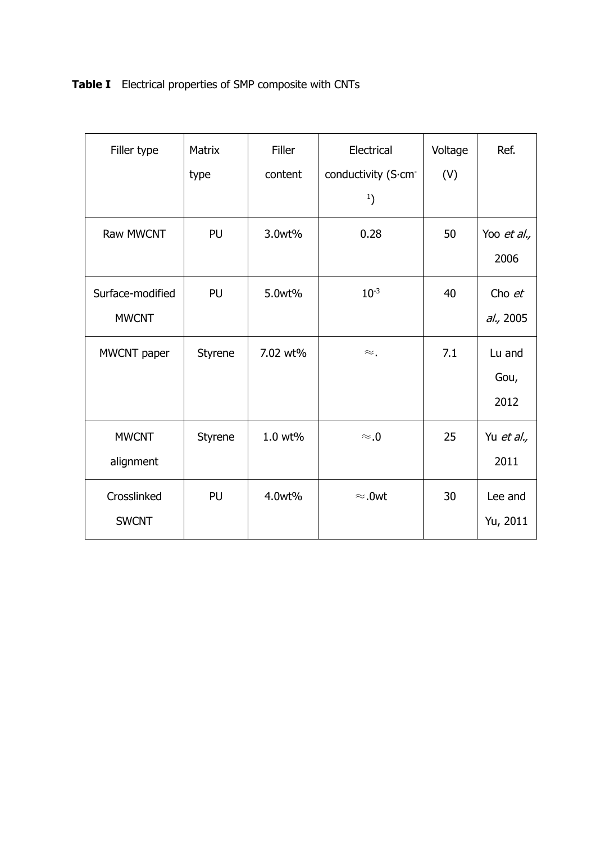**Table I** Electrical properties of SMP composite with CNTs

| Filler type      | Matrix  | <b>Filler</b> | Electrical          | Voltage | Ref.        |
|------------------|---------|---------------|---------------------|---------|-------------|
|                  | type    | content       | conductivity (S.cm- | (V)     |             |
|                  |         |               | $^{1}$              |         |             |
| <b>Raw MWCNT</b> | PU      | 3.0wt%        | 0.28                | 50      | Yoo et al., |
|                  |         |               |                     |         | 2006        |
| Surface-modified | PU      | 5.0wt%        | $10^{-3}$           | 40      | Cho et      |
| <b>MWCNT</b>     |         |               |                     |         | al., 2005   |
| MWCNT paper      | Styrene | 7.02 wt%      | $\approx$ .         | 7.1     | Lu and      |
|                  |         |               |                     |         | Gou,        |
|                  |         |               |                     |         | 2012        |
| <b>MWCNT</b>     | Styrene | 1.0 wt%       | $\approx 0$         | 25      | Yu et al.,  |
| alignment        |         |               |                     |         | 2011        |
| Crosslinked      | PU      | 4.0wt%        | $\approx$ .0wt      | 30      | Lee and     |
| <b>SWCNT</b>     |         |               |                     |         | Yu, 2011    |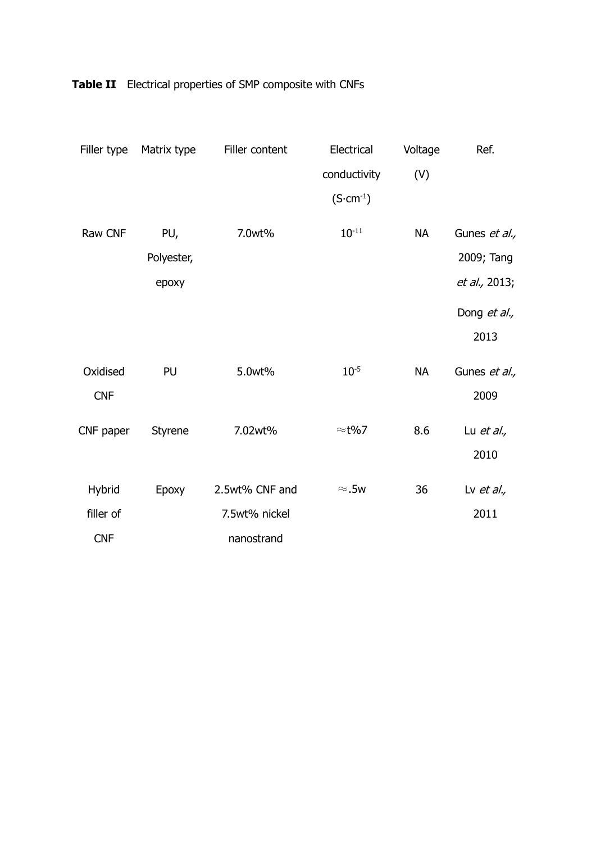| Filler type | Matrix type | Filler content | Electrical         | Voltage   | Ref.                 |
|-------------|-------------|----------------|--------------------|-----------|----------------------|
|             |             |                | conductivity       | (V)       |                      |
|             |             |                | $(S\cdot cm^{-1})$ |           |                      |
| Raw CNF     | PU,         | 7.0wt%         | $10^{-11}$         | <b>NA</b> | Gunes et al.,        |
|             | Polyester,  |                |                    |           | 2009; Tang           |
|             | epoxy       |                |                    |           | <i>et al.,</i> 2013; |
|             |             |                |                    |           | Dong et al.,         |
|             |             |                |                    |           | 2013                 |
| Oxidised    | PU          | 5.0wt%         | $10^{-5}$          | <b>NA</b> | Gunes et al.,        |
| <b>CNF</b>  |             |                |                    |           | 2009                 |
| CNF paper   | Styrene     | 7.02wt%        | $\approx$ t%7      | 8.6       | Lu <i>et al.</i> ,   |
|             |             |                |                    |           | 2010                 |
| Hybrid      | Epoxy       | 2.5wt% CNF and | $\approx$ .5w      | 36        | Lv et al.,           |
| filler of   |             | 7.5wt% nickel  |                    |           | 2011                 |
| <b>CNF</b>  |             | nanostrand     |                    |           |                      |

**Table II** Electrical properties of SMP composite with CNFs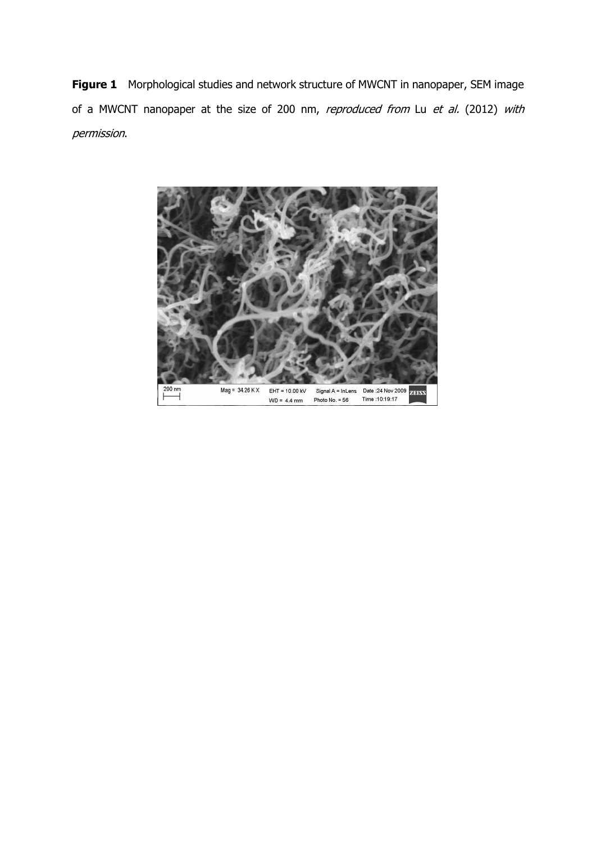**Figure 1** Morphological studies and network structure of MWCNT in nanopaper, SEM image of a MWCNT nanopaper at the size of 200 nm, reproduced from Lu et al. (2012) with permission.

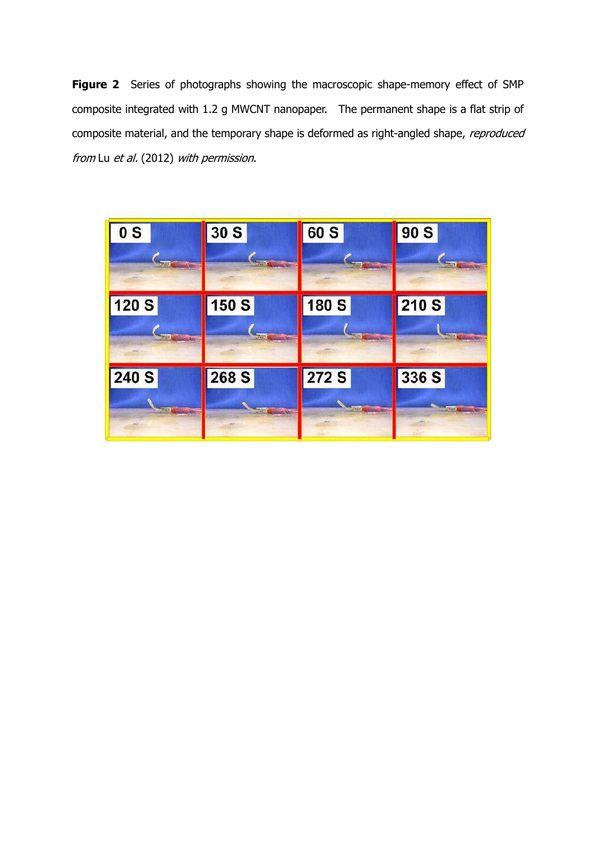**Figure 2** Series of photographs showing the macroscopic shape-memory effect of SMP composite integrated with 1.2 g MWCNT nanopaper. The permanent shape is a flat strip of composite material, and the temporary shape is deformed as right-angled shape, reproduced from Lu et al. (2012) with permission.

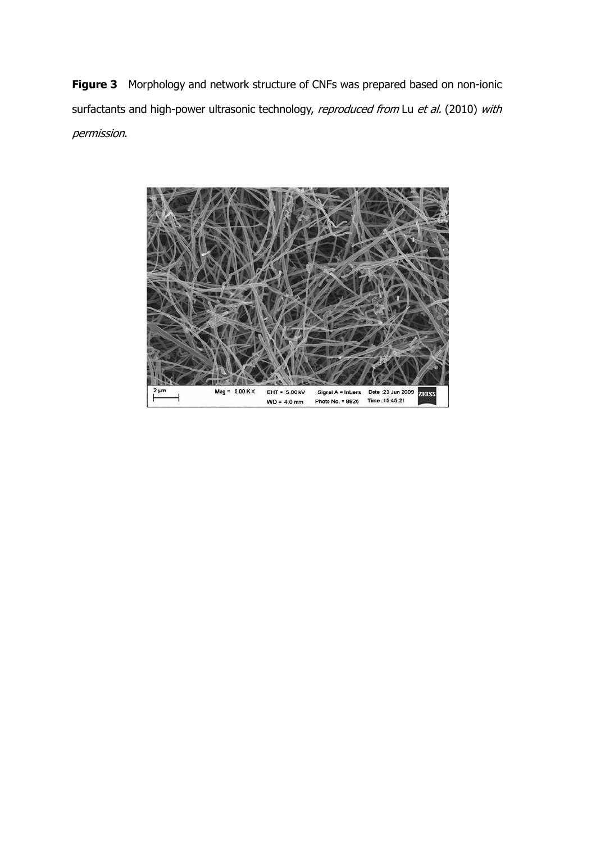**Figure 3** Morphology and network structure of CNFs was prepared based on non-ionic surfactants and high-power ultrasonic technology, reproduced from Lu et al. (2010) with permission.

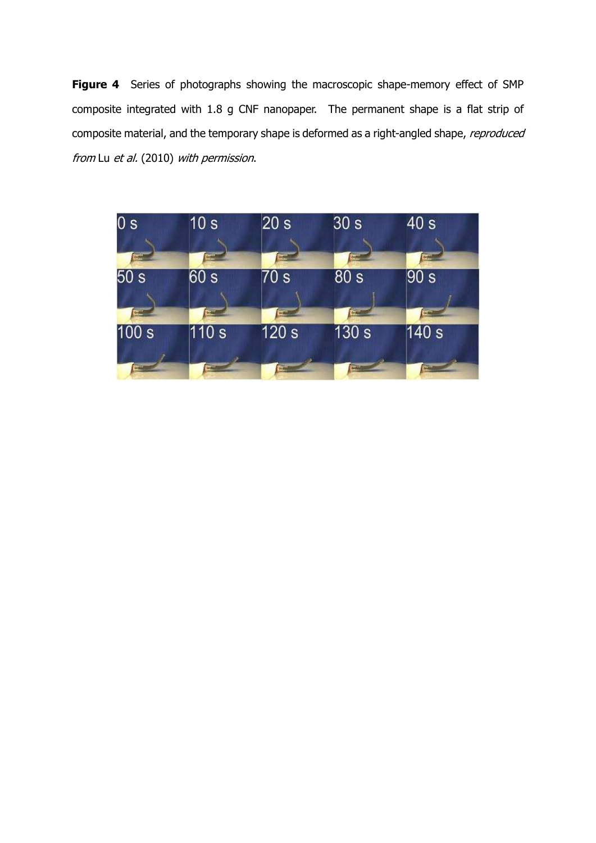**Figure 4** Series of photographs showing the macroscopic shape-memory effect of SMP composite integrated with 1.8 g CNF nanopaper. The permanent shape is a flat strip of composite material, and the temporary shape is deformed as a right-angled shape, reproduced from Lu et al. (2010) with permission.

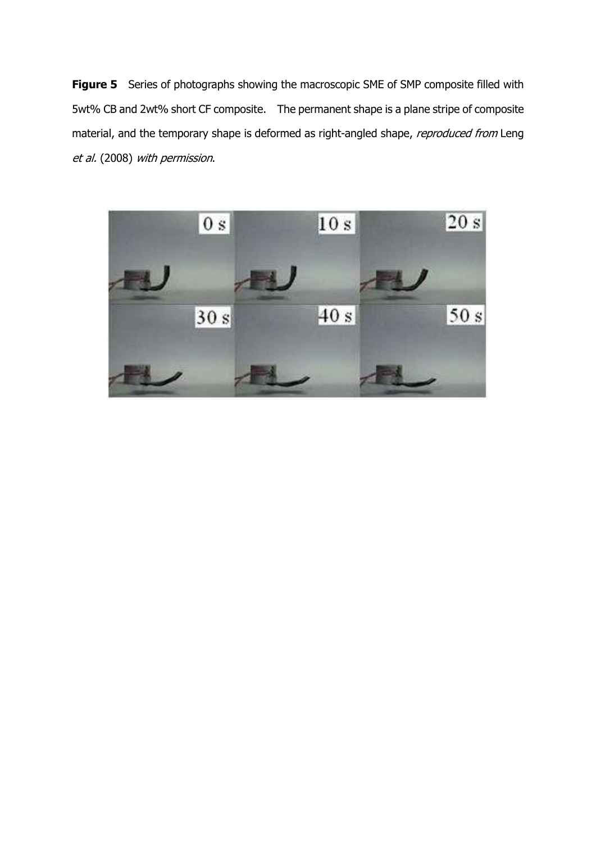**Figure 5** Series of photographs showing the macroscopic SME of SMP composite filled with 5wt% CB and 2wt% short CF composite. The permanent shape is a plane stripe of composite material, and the temporary shape is deformed as right-angled shape, reproduced from Leng et al. (2008) with permission.

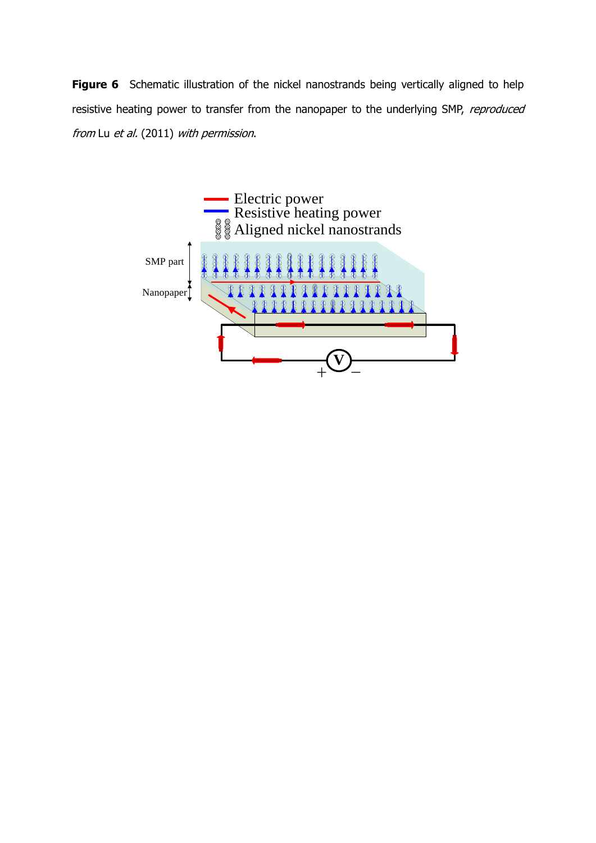**Figure 6** Schematic illustration of the nickel nanostrands being vertically aligned to help resistive heating power to transfer from the nanopaper to the underlying SMP, reproduced from Lu et al. (2011) with permission.